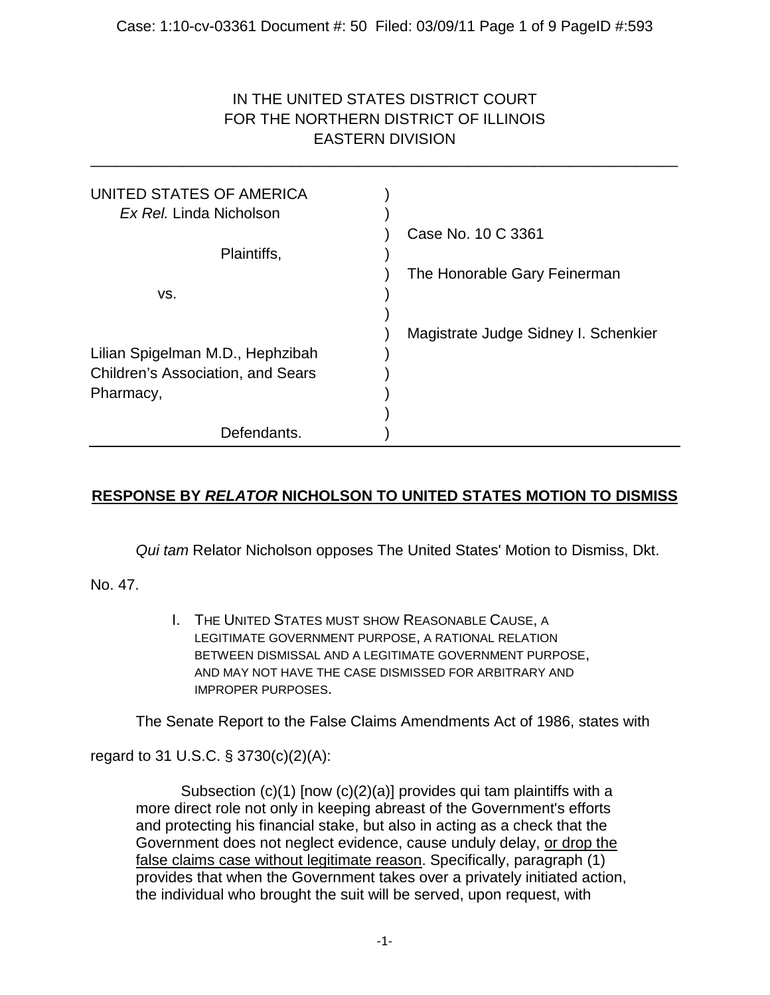# IN THE UNITED STATES DISTRICT COURT FOR THE NORTHERN DISTRICT OF ILLINOIS EASTERN DIVISION

\_\_\_\_\_\_\_\_\_\_\_\_\_\_\_\_\_\_\_\_\_\_\_\_\_\_\_\_\_\_\_\_\_\_\_\_\_\_\_\_\_\_\_\_\_\_\_\_\_\_\_\_\_\_\_\_\_\_\_\_\_\_\_\_\_\_\_\_\_\_

| UNITED STATES OF AMERICA<br>Ex Rel. Linda Nicholson                          |                                      |
|------------------------------------------------------------------------------|--------------------------------------|
| Plaintiffs,                                                                  | Case No. 10 C 3361                   |
|                                                                              | The Honorable Gary Feinerman         |
| VS.                                                                          |                                      |
|                                                                              | Magistrate Judge Sidney I. Schenkier |
| Lilian Spigelman M.D., Hephzibah<br><b>Children's Association, and Sears</b> |                                      |
| Pharmacy,                                                                    |                                      |
| Defendants.                                                                  |                                      |

# **RESPONSE BY** *RELATOR* **NICHOLSON TO UNITED STATES MOTION TO DISMISS**

*Qui tam* Relator Nicholson opposes The United States' Motion to Dismiss, Dkt.

No. 47.

I. THE UNITED STATES MUST SHOW REASONABLE CAUSE, A LEGITIMATE GOVERNMENT PURPOSE, A RATIONAL RELATION BETWEEN DISMISSAL AND A LEGITIMATE GOVERNMENT PURPOSE, AND MAY NOT HAVE THE CASE DISMISSED FOR ARBITRARY AND IMPROPER PURPOSES.

The Senate Report to the False Claims Amendments Act of 1986, states with

regard to 31 U.S.C. § 3730(c)(2)(A):

Subsection (c)(1) [now (c)(2)(a)] provides qui tam plaintiffs with a more direct role not only in keeping abreast of the Government's efforts and protecting his financial stake, but also in acting as a check that the Government does not neglect evidence, cause unduly delay, or drop the false claims case without legitimate reason. Specifically, paragraph (1) provides that when the Government takes over a privately initiated action, the individual who brought the suit will be served, upon request, with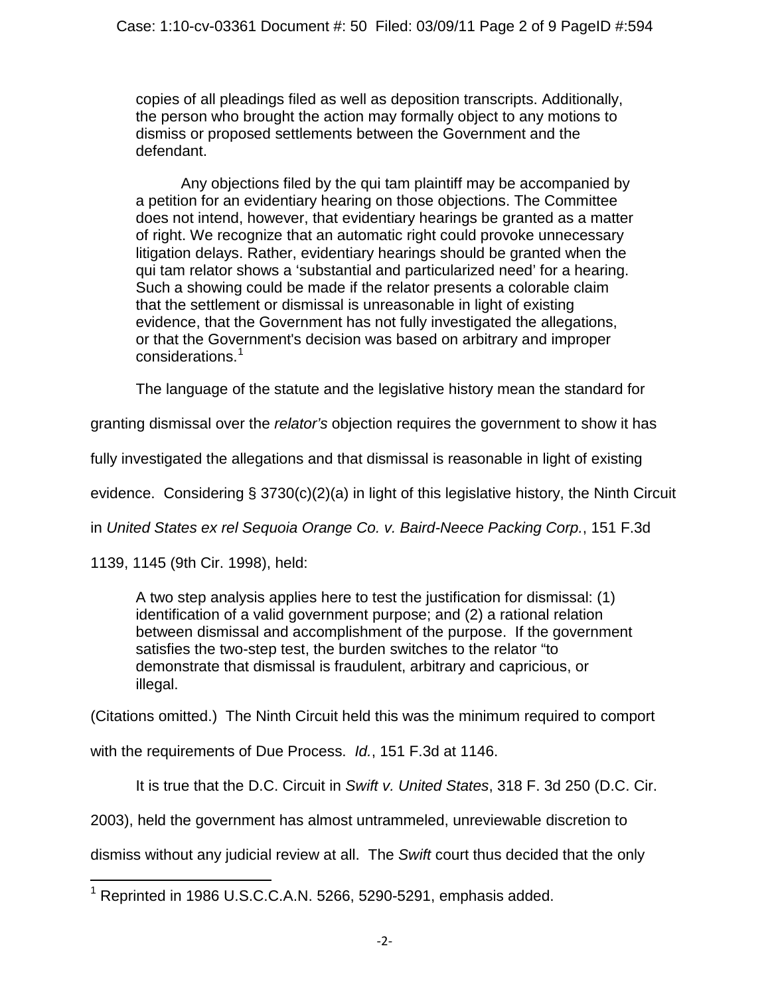copies of all pleadings filed as well as deposition transcripts. Additionally, the person who brought the action may formally object to any motions to dismiss or proposed settlements between the Government and the defendant.

Any objections filed by the qui tam plaintiff may be accompanied by a petition for an evidentiary hearing on those objections. The Committee does not intend, however, that evidentiary hearings be granted as a matter of right. We recognize that an automatic right could provoke unnecessary litigation delays. Rather, evidentiary hearings should be granted when the qui tam relator shows a 'substantial and particularized need' for a hearing. Such a showing could be made if the relator presents a colorable claim that the settlement or dismissal is unreasonable in light of existing evidence, that the Government has not fully investigated the allegations, or that the Government's decision was based on arbitrary and improper considerations.<sup>[1](#page-1-0)</sup>

The language of the statute and the legislative history mean the standard for

granting dismissal over the *relator's* objection requires the government to show it has

fully investigated the allegations and that dismissal is reasonable in light of existing

evidence. Considering § 3730(c)(2)(a) in light of this legislative history, the Ninth Circuit

in *United States ex rel Sequoia Orange Co. v. Baird-Neece Packing Corp.*, 151 F.3d

1139, 1145 (9th Cir. 1998), held:

A two step analysis applies here to test the justification for dismissal: (1) identification of a valid government purpose; and (2) a rational relation between dismissal and accomplishment of the purpose. If the government satisfies the two-step test, the burden switches to the relator "to demonstrate that dismissal is fraudulent, arbitrary and capricious, or illegal.

(Citations omitted.) The Ninth Circuit held this was the minimum required to comport

with the requirements of Due Process. *Id.*, 151 F.3d at 1146.

It is true that the D.C. Circuit in *Swift v. United States*, 318 F. 3d 250 (D.C. Cir.

2003), held the government has almost untrammeled, unreviewable discretion to

dismiss without any judicial review at all. The *Swift* court thus decided that the only

<span id="page-1-0"></span><sup>&</sup>lt;sup>1</sup> Reprinted in 1986 U.S.C.C.A.N. 5266, 5290-5291, emphasis added.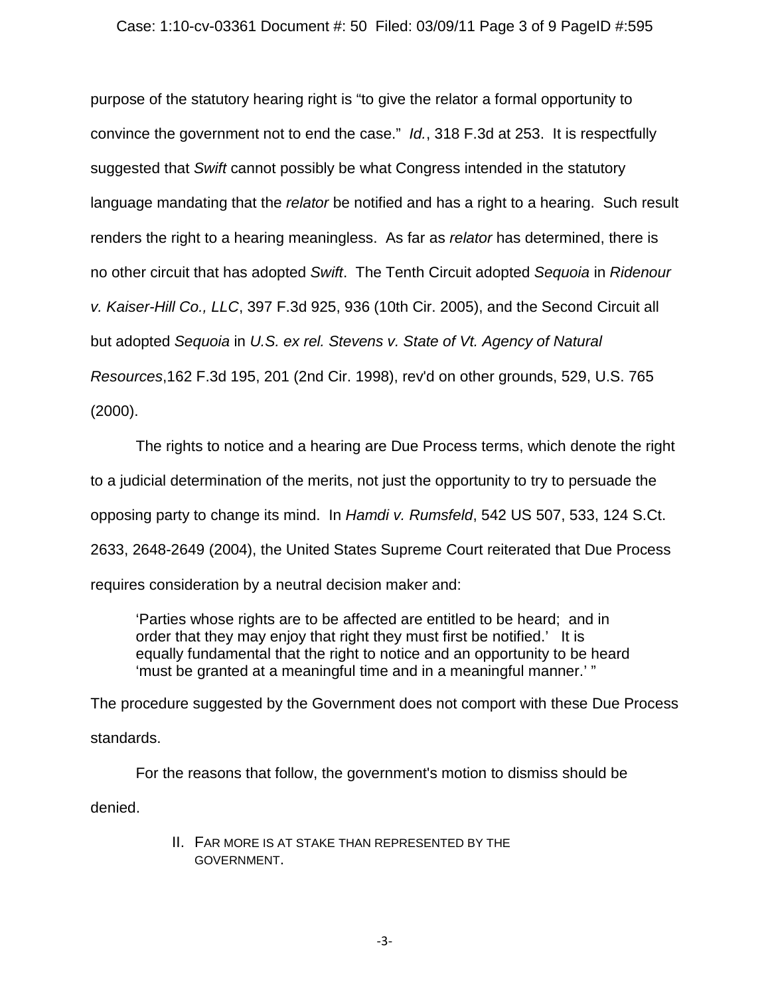### Case: 1:10-cv-03361 Document #: 50 Filed: 03/09/11 Page 3 of 9 PageID #:595

purpose of the statutory hearing right is "to give the relator a formal opportunity to convince the government not to end the case." *Id.*, 318 F.3d at 253. It is respectfully suggested that *Swift* cannot possibly be what Congress intended in the statutory language mandating that the *relator* be notified and has a right to a hearing. Such result renders the right to a hearing meaningless. As far as *relator* has determined, there is no other circuit that has adopted *Swift*. The Tenth Circuit adopted *Sequoia* in *Ridenour v. Kaiser-Hill Co., LLC*, 397 F.3d 925, 936 (10th Cir. 2005), and the Second Circuit all but adopted *Sequoia* in *U.S. ex rel. Stevens v. State of Vt. Agency of Natural Resources*,162 F.3d 195, 201 (2nd Cir. 1998), rev'd on other grounds, 529, U.S. 765 (2000).

The rights to notice and a hearing are Due Process terms, which denote the right to a judicial determination of the merits, not just the opportunity to try to persuade the opposing party to change its mind. In *Hamdi v. Rumsfeld*, 542 US 507, 533, 124 S.Ct. 2633, 2648-2649 (2004), the United States Supreme Court reiterated that Due Process requires consideration by a neutral decision maker and:

'Parties whose rights are to be affected are entitled to be heard; and in order that they may enjoy that right they must first be notified.' It is equally fundamental that the right to notice and an opportunity to be heard 'must be granted at a meaningful time and in a meaningful manner.' "

The procedure suggested by the Government does not comport with these Due Process standards.

For the reasons that follow, the government's motion to dismiss should be denied.

> II. FAR MORE IS AT STAKE THAN REPRESENTED BY THE GOVERNMENT.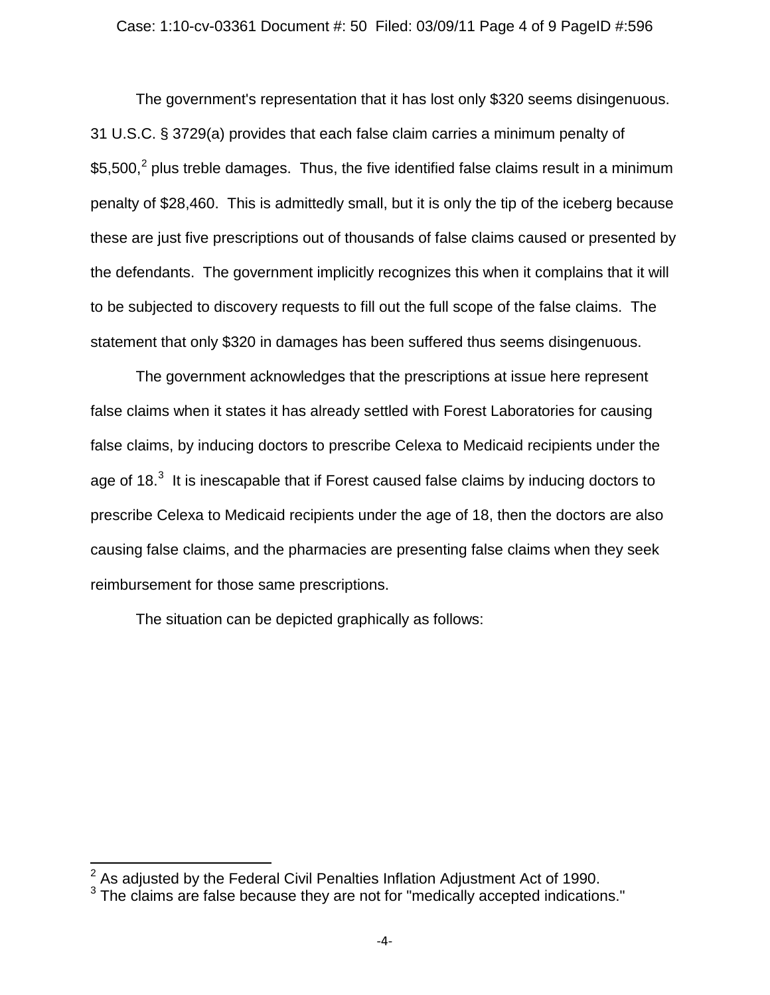#### Case: 1:10-cv-03361 Document #: 50 Filed: 03/09/11 Page 4 of 9 PageID #:596

The government's representation that it has lost only \$320 seems disingenuous. 31 U.S.C. § 3729(a) provides that each false claim carries a minimum penalty of \$5,500,<sup>[2](#page-3-0)</sup> plus treble damages. Thus, the five identified false claims result in a minimum penalty of \$28,460. This is admittedly small, but it is only the tip of the iceberg because these are just five prescriptions out of thousands of false claims caused or presented by the defendants. The government implicitly recognizes this when it complains that it will to be subjected to discovery requests to fill out the full scope of the false claims. The statement that only \$320 in damages has been suffered thus seems disingenuous.

The government acknowledges that the prescriptions at issue here represent false claims when it states it has already settled with Forest Laboratories for causing false claims, by inducing doctors to prescribe Celexa to Medicaid recipients under the age of 18. $^3$  $^3$  It is inescapable that if Forest caused false claims by inducing doctors to prescribe Celexa to Medicaid recipients under the age of 18, then the doctors are also causing false claims, and the pharmacies are presenting false claims when they seek reimbursement for those same prescriptions.

The situation can be depicted graphically as follows:

<span id="page-3-1"></span><span id="page-3-0"></span> $2$  As adjusted by the Federal Civil Penalties Inflation Adjustment Act of 1990.<br> $3$  The claims are false because they are not for "medically accepted indications."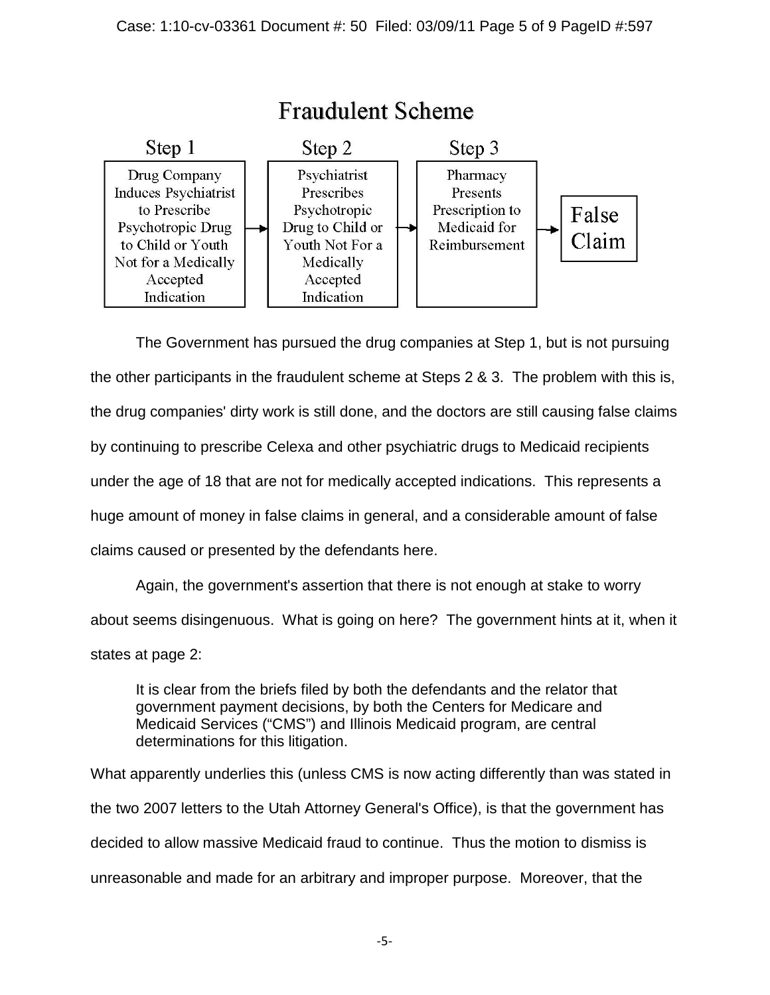

The Government has pursued the drug companies at Step 1, but is not pursuing the other participants in the fraudulent scheme at Steps 2 & 3. The problem with this is, the drug companies' dirty work is still done, and the doctors are still causing false claims by continuing to prescribe Celexa and other psychiatric drugs to Medicaid recipients under the age of 18 that are not for medically accepted indications. This represents a huge amount of money in false claims in general, and a considerable amount of false claims caused or presented by the defendants here.

Again, the government's assertion that there is not enough at stake to worry about seems disingenuous. What is going on here? The government hints at it, when it states at page 2:

It is clear from the briefs filed by both the defendants and the relator that government payment decisions, by both the Centers for Medicare and Medicaid Services ("CMS") and Illinois Medicaid program, are central determinations for this litigation.

What apparently underlies this (unless CMS is now acting differently than was stated in the two 2007 letters to the Utah Attorney General's Office), is that the government has decided to allow massive Medicaid fraud to continue. Thus the motion to dismiss is unreasonable and made for an arbitrary and improper purpose. Moreover, that the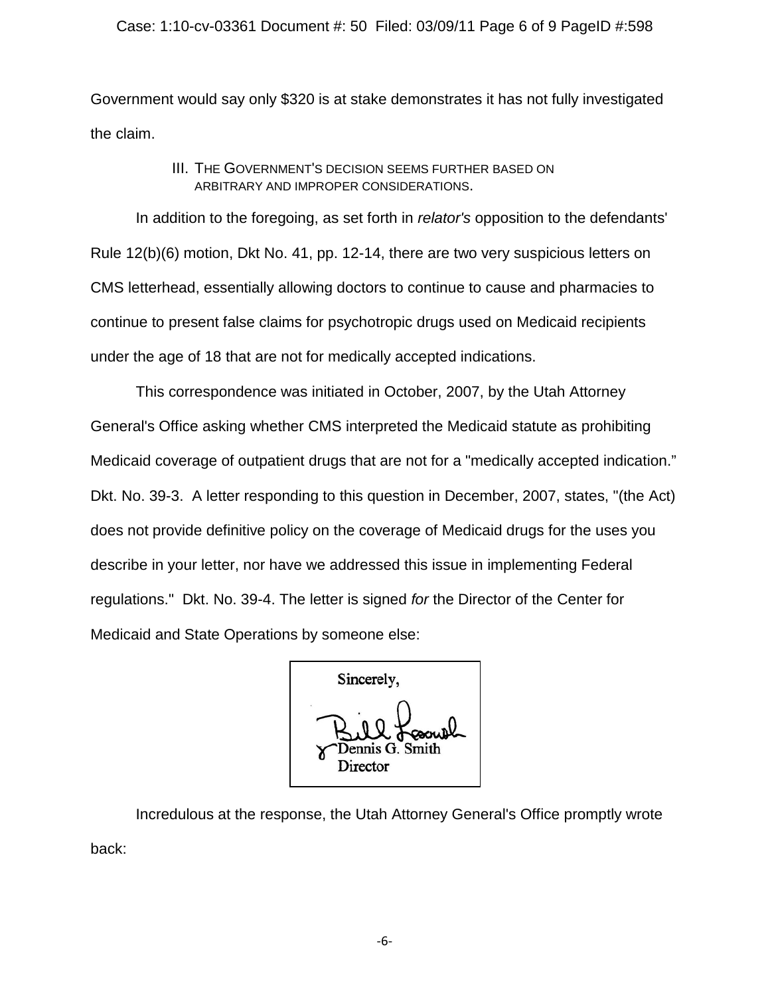### Case: 1:10-cv-03361 Document #: 50 Filed: 03/09/11 Page 6 of 9 PageID #:598

Government would say only \$320 is at stake demonstrates it has not fully investigated the claim.

# III. THE GOVERNMENT'S DECISION SEEMS FURTHER BASED ON ARBITRARY AND IMPROPER CONSIDERATIONS.

In addition to the foregoing, as set forth in *relator's* opposition to the defendants' Rule 12(b)(6) motion, Dkt No. 41, pp. 12-14, there are two very suspicious letters on CMS letterhead, essentially allowing doctors to continue to cause and pharmacies to continue to present false claims for psychotropic drugs used on Medicaid recipients under the age of 18 that are not for medically accepted indications.

This correspondence was initiated in October, 2007, by the Utah Attorney General's Office asking whether CMS interpreted the Medicaid statute as prohibiting Medicaid coverage of outpatient drugs that are not for a "medically accepted indication." Dkt. No. 39-3. A letter responding to this question in December, 2007, states, "(the Act) does not provide definitive policy on the coverage of Medicaid drugs for the uses you describe in your letter, nor have we addressed this issue in implementing Federal regulations." Dkt. No. 39-4. The letter is signed *for* the Director of the Center for Medicaid and State Operations by someone else:

Sincerely. ennis G. Smith Director

Incredulous at the response, the Utah Attorney General's Office promptly wrote back:

-6-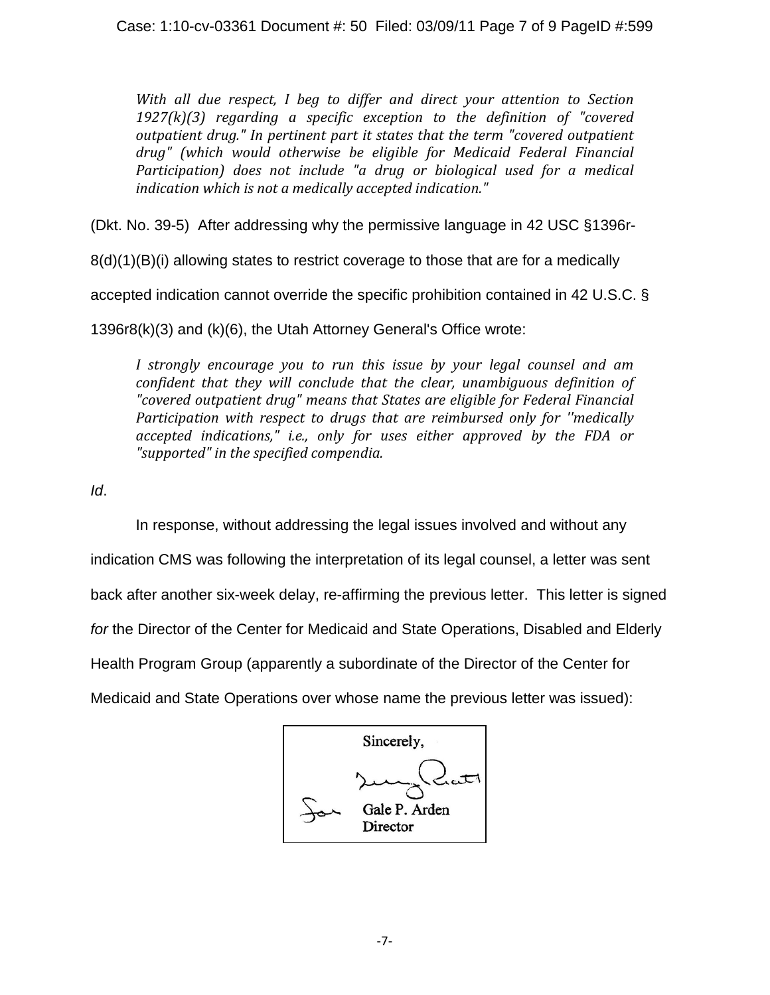*With all due respect, I beg to differ and direct your attention to Section 1927(k)(3) regarding a specific exception to the definition of "covered outpatient drug." In pertinent part it states that the term "covered outpatient drug" (which would otherwise be eligible for Medicaid Federal Financial Participation) does not include "a drug or biological used for a medical indication which is not a medically accepted indication."*

(Dkt. No. 39-5) After addressing why the permissive language in 42 USC §1396r-

8(d)(1)(B)(i) allowing states to restrict coverage to those that are for a medically

accepted indication cannot override the specific prohibition contained in 42 U.S.C. §

1396r8(k)(3) and (k)(6), the Utah Attorney General's Office wrote:

*I strongly encourage you to run this issue by your legal counsel and am confident that they will conclude that the clear, unambiguous definition of "covered outpatient drug" means that States are eligible for Federal Financial Participation with respect to drugs that are reimbursed only for ''medically accepted indications," i.e., only for uses either approved by the FDA or "supported" in the specified compendia.*

*Id*.

In response, without addressing the legal issues involved and without any

indication CMS was following the interpretation of its legal counsel, a letter was sent

back after another six-week delay, re-affirming the previous letter. This letter is signed

*for* the Director of the Center for Medicaid and State Operations, Disabled and Elderly

Health Program Group (apparently a subordinate of the Director of the Center for

Medicaid and State Operations over whose name the previous letter was issued):

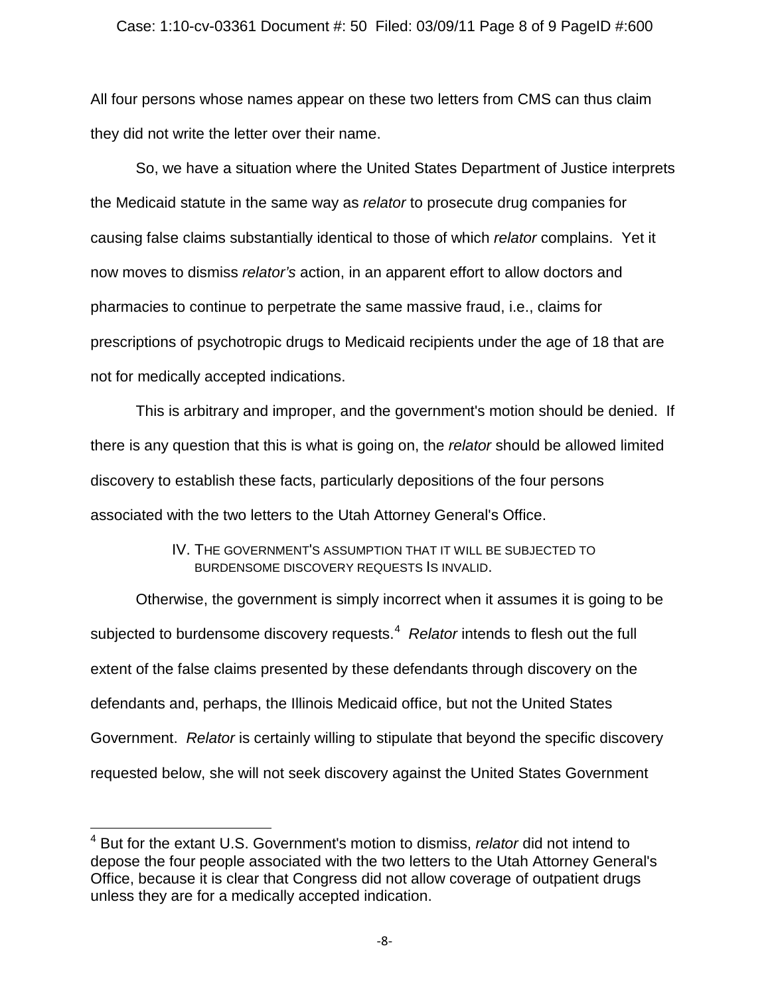### Case: 1:10-cv-03361 Document #: 50 Filed: 03/09/11 Page 8 of 9 PageID #:600

All four persons whose names appear on these two letters from CMS can thus claim they did not write the letter over their name.

So, we have a situation where the United States Department of Justice interprets the Medicaid statute in the same way as *relator* to prosecute drug companies for causing false claims substantially identical to those of which *relator* complains. Yet it now moves to dismiss *relator's* action, in an apparent effort to allow doctors and pharmacies to continue to perpetrate the same massive fraud, i.e., claims for prescriptions of psychotropic drugs to Medicaid recipients under the age of 18 that are not for medically accepted indications.

This is arbitrary and improper, and the government's motion should be denied. If there is any question that this is what is going on, the *relator* should be allowed limited discovery to establish these facts, particularly depositions of the four persons associated with the two letters to the Utah Attorney General's Office.

## IV. THE GOVERNMENT'S ASSUMPTION THAT IT WILL BE SUBJECTED TO BURDENSOME DISCOVERY REQUESTS IS INVALID.

Otherwise, the government is simply incorrect when it assumes it is going to be subjected to burdensome discovery requests.<sup>[4](#page-7-0)</sup> Relator intends to flesh out the full extent of the false claims presented by these defendants through discovery on the defendants and, perhaps, the Illinois Medicaid office, but not the United States Government. *Relator* is certainly willing to stipulate that beyond the specific discovery requested below, she will not seek discovery against the United States Government

<span id="page-7-0"></span><sup>4</sup> But for the extant U.S. Government's motion to dismiss, *relator* did not intend to depose the four people associated with the two letters to the Utah Attorney General's Office, because it is clear that Congress did not allow coverage of outpatient drugs unless they are for a medically accepted indication.